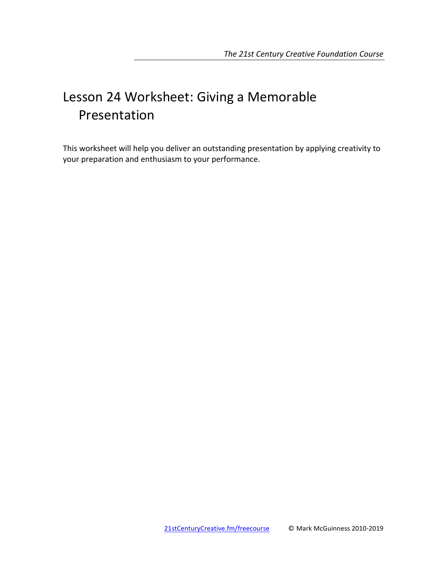# Lesson 24 Worksheet: Giving a Memorable Presentation

This worksheet will help you deliver an outstanding presentation by applying creativity to your preparation and enthusiasm to your performance.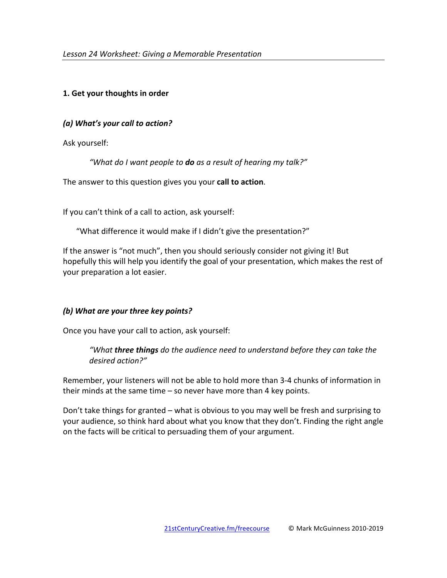# **1. Get your thoughts in order**

## *(a) What's your call to action?*

Ask yourself:

"What do I want people to **do** as a result of hearing my talk?"

The answer to this question gives you your **call to action**.

If you can't think of a call to action, ask yourself:

"What difference it would make if I didn't give the presentation?"

If the answer is "not much", then you should seriously consider not giving it! But hopefully this will help you identify the goal of your presentation, which makes the rest of your preparation a lot easier.

# *(b)* What are your three key points?

Once you have your call to action, ask yourself:

"What **three things** do the audience need to understand before they can take the *desired action?"*

Remember, your listeners will not be able to hold more than 3-4 chunks of information in their minds at the same time  $-$  so never have more than 4 key points.

Don't take things for granted – what is obvious to you may well be fresh and surprising to your audience, so think hard about what you know that they don't. Finding the right angle on the facts will be critical to persuading them of your argument.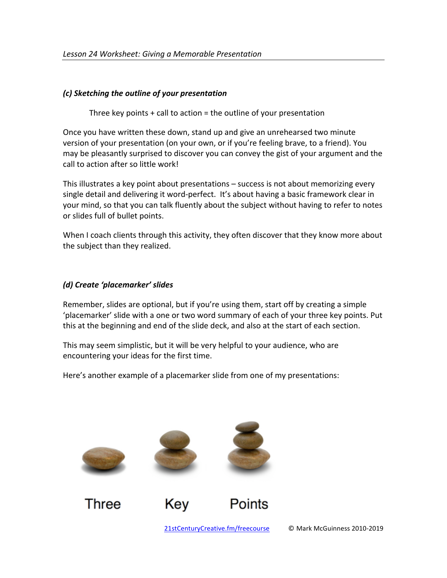## *(c) Sketching the outline of your presentation*

Three key points  $+$  call to action  $=$  the outline of your presentation

Once you have written these down, stand up and give an unrehearsed two minute version of your presentation (on your own, or if you're feeling brave, to a friend). You may be pleasantly surprised to discover you can convey the gist of your argument and the call to action after so little work!

This illustrates a key point about presentations – success is not about memorizing every single detail and delivering it word-perfect. It's about having a basic framework clear in your mind, so that you can talk fluently about the subject without having to refer to notes or slides full of bullet points.

When I coach clients through this activity, they often discover that they know more about the subject than they realized.

# *(d) Create 'placemarker' slides*

Remember, slides are optional, but if you're using them, start off by creating a simple 'placemarker' slide with a one or two word summary of each of your three key points. Put this at the beginning and end of the slide deck, and also at the start of each section.

This may seem simplistic, but it will be very helpful to your audience, who are encountering your ideas for the first time.

Here's another example of a placemarker slide from one of my presentations:

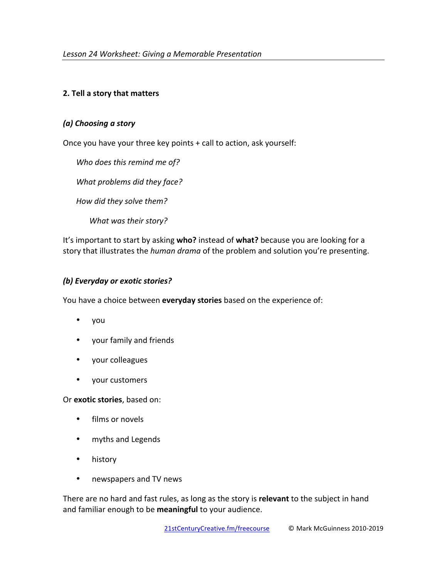# **2. Tell a story that matters**

## *(a) Choosing a story*

Once you have your three key points  $+$  call to action, ask yourself:

Who does this remind me of? What problems did they face? *How did they solve them?* What was their story?

It's important to start by asking who? instead of what? because you are looking for a story that illustrates the *human drama* of the problem and solution you're presenting.

# *(b) Everyday or exotic stories?*

You have a choice between **everyday stories** based on the experience of:

- you
- your family and friends
- your colleagues
- your customers

Or exotic stories, based on:

- films or novels
- myths and Legends
- history
- newspapers and TV news

There are no hard and fast rules, as long as the story is **relevant** to the subject in hand and familiar enough to be meaningful to your audience.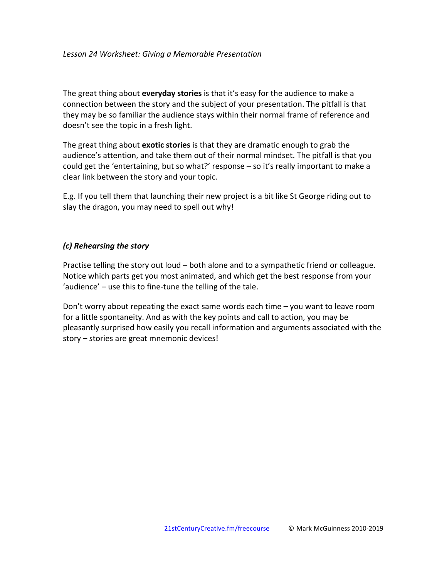The great thing about **everyday stories** is that it's easy for the audience to make a connection between the story and the subject of your presentation. The pitfall is that they may be so familiar the audience stays within their normal frame of reference and doesn't see the topic in a fresh light.

The great thing about **exotic stories** is that they are dramatic enough to grab the audience's attention, and take them out of their normal mindset. The pitfall is that you could get the 'entertaining, but so what?' response  $-$  so it's really important to make a clear link between the story and your topic.

E.g. If you tell them that launching their new project is a bit like St George riding out to slay the dragon, you may need to spell out why!

# *(c) Rehearsing the story*

Practise telling the story out loud – both alone and to a sympathetic friend or colleague. Notice which parts get you most animated, and which get the best response from your 'audience'  $-$  use this to fine-tune the telling of the tale.

Don't worry about repeating the exact same words each time  $-$  you want to leave room for a little spontaneity. And as with the key points and call to action, you may be pleasantly surprised how easily you recall information and arguments associated with the story – stories are great mnemonic devices!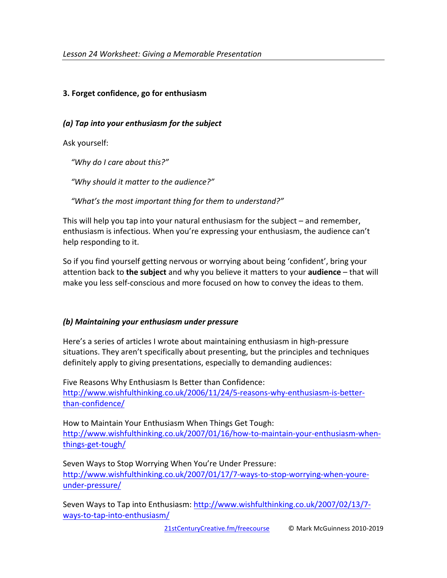# **3. Forget confidence, go for enthusiasm**

## *(a) Tap into your enthusiasm for the subject*

Ask yourself:

 *"Why do I care about this?"*

 *"Why should it matter to the audience?"*

"What's the most important thing for them to understand?"

This will help you tap into your natural enthusiasm for the subject  $-$  and remember, enthusiasm is infectious. When you're expressing your enthusiasm, the audience can't help responding to it.

So if you find yourself getting nervous or worrying about being 'confident', bring your attention back to **the subject** and why you believe it matters to your **audience** – that will make you less self-conscious and more focused on how to convey the ideas to them.

# *(b) Maintaining your enthusiasm under pressure*

Here's a series of articles I wrote about maintaining enthusiasm in high-pressure situations. They aren't specifically about presenting, but the principles and techniques definitely apply to giving presentations, especially to demanding audiences:

Five Reasons Why Enthusiasm Is Better than Confidence: http://www.wishfulthinking.co.uk/2006/11/24/5-reasons-why-enthusiasm-is-betterthan-confidence/

How to Maintain Your Enthusiasm When Things Get Tough: http://www.wishfulthinking.co.uk/2007/01/16/how-to-maintain-your-enthusiasm-whenthings-get-tough/

Seven Ways to Stop Worrying When You're Under Pressure: http://www.wishfulthinking.co.uk/2007/01/17/7-ways-to-stop-worrying-when-youreunder-pressure/

Seven Ways to Tap into Enthusiasm: http://www.wishfulthinking.co.uk/2007/02/13/7ways-to-tap-into-enthusiasm/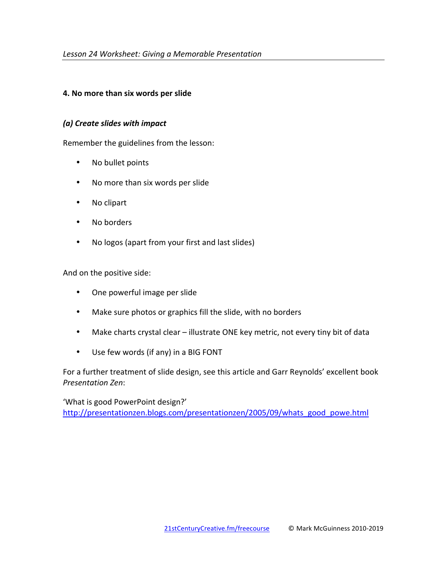## **4. No more than six words per slide**

### *(a) Create slides with impact*

Remember the guidelines from the lesson:

- No bullet points
- No more than six words per slide
- No clipart
- No borders
- No logos (apart from your first and last slides)

And on the positive side:

- One powerful image per slide
- Make sure photos or graphics fill the slide, with no borders
- Make charts crystal clear illustrate ONE key metric, not every tiny bit of data
- Use few words (if any) in a BIG FONT

For a further treatment of slide design, see this article and Garr Reynolds' excellent book *Presentation Zen*:

'What is good PowerPoint design?' http://presentationzen.blogs.com/presentationzen/2005/09/whats\_good\_powe.html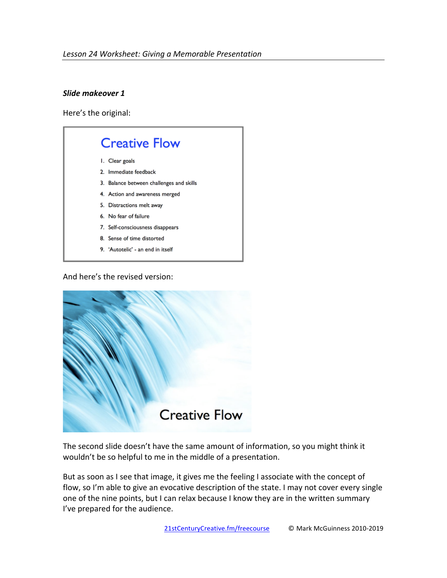## *Slide makeover 1*

Here's the original:



And here's the revised version:



The second slide doesn't have the same amount of information, so you might think it wouldn't be so helpful to me in the middle of a presentation.

But as soon as I see that image, it gives me the feeling I associate with the concept of flow, so I'm able to give an evocative description of the state. I may not cover every single one of the nine points, but I can relax because I know they are in the written summary I've prepared for the audience.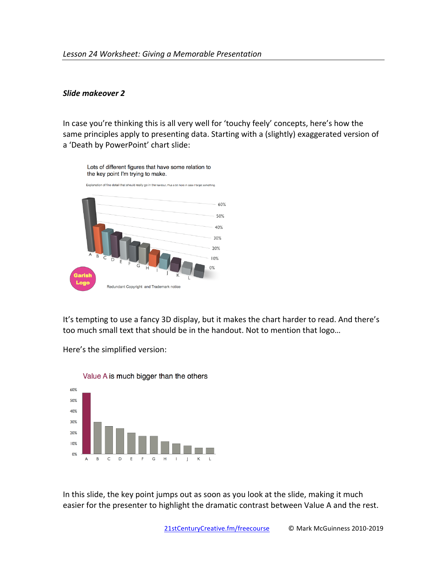#### Slide makeover 2

In case you're thinking this is all very well for 'touchy feely' concepts, here's how the same principles apply to presenting data. Starting with a (slightly) exaggerated version of a 'Death by PowerPoint' chart slide:



It's tempting to use a fancy 3D display, but it makes the chart harder to read. And there's too much small text that should be in the handout. Not to mention that logo...

Here's the simplified version:



Value A is much bigger than the others

In this slide, the key point jumps out as soon as you look at the slide, making it much easier for the presenter to highlight the dramatic contrast between Value A and the rest.